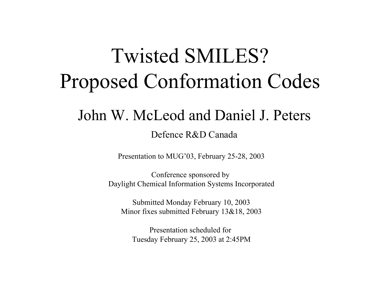# Twisted SMILES? Proposed Conformation Codes

## John W. McLeod and Daniel J. Peters

#### Defence R&D Canada

Presentation to MUG'03, F ebruary 25-28, 2003

Conference sponsored by Daylight C hemical Information Systems Incorporated

Submitted Monday February 10, 2003 Minor fixes submitted February 13&18, 2003

Presentation scheduled for Tuesday February 25, 2003 at 2:45P M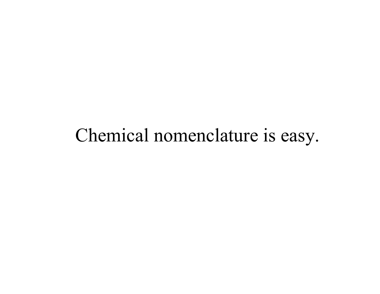## Chemical nomenclature is easy.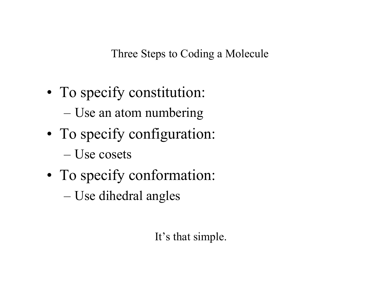Three Steps to Coding a Molecule

- • To specify constitution:
	- Use an atom numbering
- • To specify configuration:
	- –Use cosets
- • To specify conformation:
	- Use dihedral angles

It's that simple.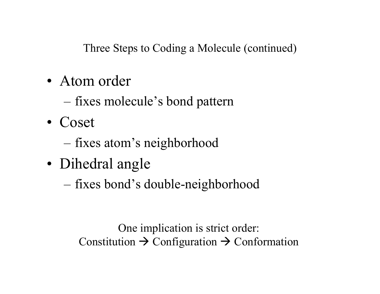Three Steps to Coding a Molecule (continued)

- •Atom order
	- fixes molecule's bond pattern
- Coset
	- fixes atom's neighborhood
- • Dihedral angle
	- fixes bond's double-neighborhood

One implication is strict order: Constitution  $\rightarrow$  Configuration  $\rightarrow$  Conformation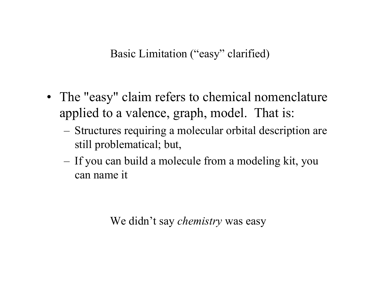#### Basic Limitation ("easy" clarified)

- The "easy" claim refers to chemical nomenclature applied to a valence, graph, model. That is:
	- Structures requiring a molecular orbital description are still problematical; but,
	- –- If you can build a molecule from a modeling kit, you can name it

We didn't say *chemistry* was easy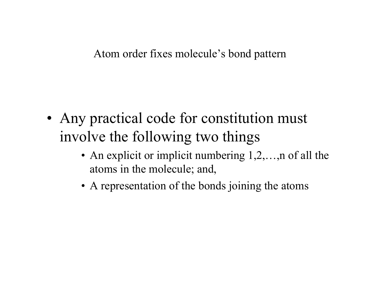#### Atom order fixes molecule's bond pattern

- •• Any practical code for constitution must involve the following two things
	- An explicit or implicit numbering 1,2,..., n of all the atoms in the molecule; and,
	- A representation of the bonds joining the atoms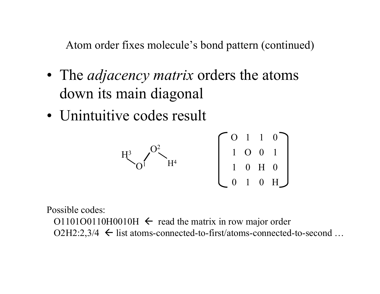Atom order fixes molecule's bond pattern (continued)

- T h e *adjacency matrix* orders the atoms down its main diagonal
- Unintuitive codes result

$$
H^3 \sim 0^2
$$
  $H^4$   $\begin{bmatrix} 0 & 1 & 1 & 0 \\ 1 & 0 & 0 & 1 \\ 1 & 0 & H & 0 \\ 0 & 1 & 0 & H \end{bmatrix}$ 

Possible codes:

O1101O0110H0010H  $\leftarrow$  read the matrix in row major order O2 H 2:2,3/4 Å list atoms-connected-to-first/atoms-connected-to-second …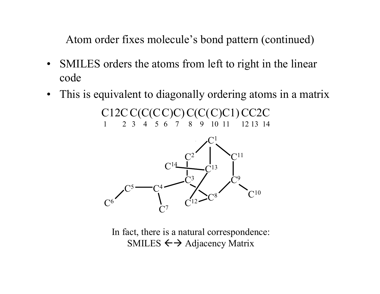Atom order fixes molecule's bond pattern (continued)

- •SMILES orders the atoms from left to right in the linear code
- $\bullet$ This is equivalent to diagonally ordering atoms in a matrix

C12CC(C(C C)C) C(C( C)C1) CC2C 1 2 3 4 5 6 7 8 9 10 11 12 13 14



In fact, there is a natural correspondence: SMILES  $\leftarrow$  > Adjacency Matrix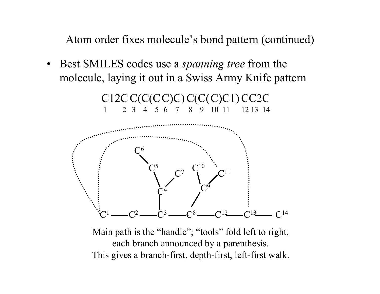Atom order fixes molecule's bond pattern (continued)

• Best SMILES codes use a *spanning tree* from the molecule, laying it out in a Swiss Army Knife pattern



Main path is the "handle"; "tools" fold left to right, each branch announced by a parenthesis. This gives a branch-first, depth-first, left-first walk.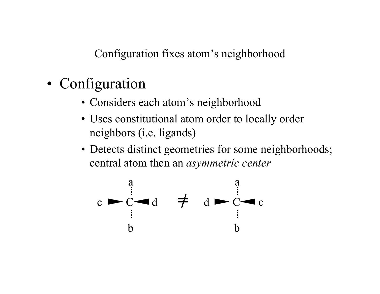Configuration fixes atom's neighborhood

- Configuration
	- Considers each atom's neighborhood
	- Uses constitutional atom order to locally order neighbors (i.e. ligands)
	- Detects distinct geometries for some neighborhoods; central atom then an *asymmetric center*

$$
\begin{array}{ccc}\n & a \\
& \vdots \\
& b\n \end{array}\n \quad \begin{array}{ccc}\n & a \\
& d \\
& b\n \end{array}\n \quad \begin{array}{ccc}\n & a \\
& d \\
& b\n \end{array}\n \quad \begin{array}{ccc}\n & a \\
& d \\
& b\n \end{array}\n \quad \begin{array}{ccc}\n & a \\
& d \\
& b\n \end{array}
$$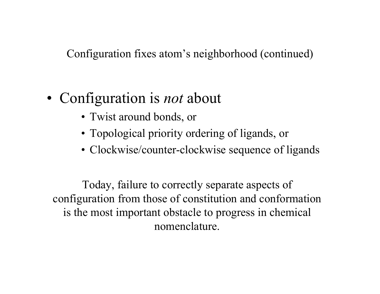Configuration fixes atom's neighborhood (continued)

- Configuration is *not* about
	- Twist around bonds, or
	- Topological priority ordering of ligands, or
	- Clockwise/counter-clockwise sequence of ligands

Today, failure to correctly separate aspects of configuration from those of constitution and conformation is the most important obstacle to progress in chemical nomenclature.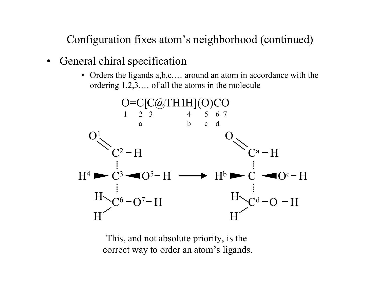Configuration fixes atom's neighborhood (continued)

- $\bullet$ General chiral specification
	- Orders the ligands  $a,b,c,...$  around an atom in accordance with the ordering 1,2,3,… of all the atoms in the molecule



This, and not absolut e priority, is the correct way to order an atom's ligands.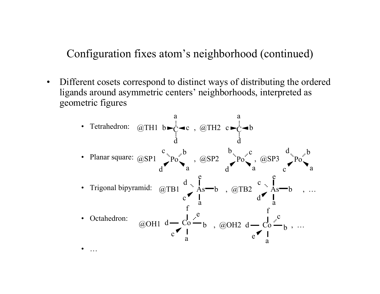Configuration fixes atom's neighborhood (continued)

 $\bullet$ Different cosets correspond to distinct ways of distributing the ordered ligands around asymmetric centers' neighborhoods, interpreted as geometric figures

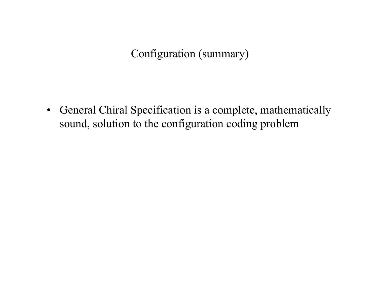#### Configuration (summary)

• General Chiral Specification is a complete, mathematically sound, solution to the configuration coding problem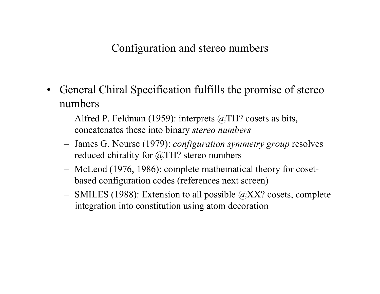#### Configuration and stereo numbers

- $\bullet$ General Chiral Specification fulfills the promise of stereo numbers
	- Alfred P. Feldman (1959): interprets @TH? cosets as bits, concatenates these into binary *stereo numb ers*
	- James G. Nourse (1979): *configuration symmetry group* resolves reduced chirality for @TH? stereo numbers
	- McLeod (1976, 1986): complete mathematical theory for cosetbased configuration codes (references next screen)
	- SMILES (1988): Extension to all possible @XX? cosets, complete integration into constitution using atom decoration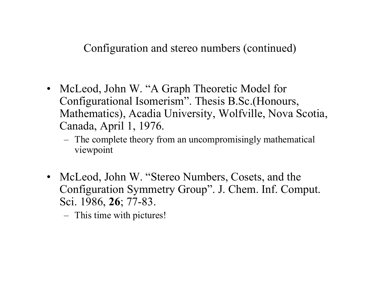#### Configuration and stereo numbers (continued)

- McLeod, John W. "A Graph Theoretic Model for Configurational Isomerism". Thesis B.Sc.(Honours, Mathematics), Acadia University, Wolfville, Nova Scotia, Canada, April 1, 1976.
	- The complete theory from an uncompromisingly mathematical viewpoint
- McLeod, John W. "Stereo Numbers, Cosets, and the Configuration Symmetry Group". J. Chem. Inf. Comput. Sci. 1986, **26**; 77-83.
	- This time with pictures!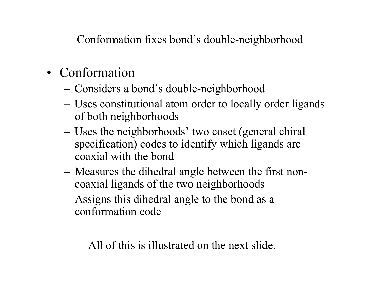Conformation fixes bond's double-neighborhood

- Conformation
	- Considers a bond's double-neighborhood
	- Uses constitutional atom order to locally order ligands of both neighborhoods
	- Uses the neighborhoods' two coset (general chiral specification) codes to identify which ligands are coaxial with the bond
	- Measures the dihedral angle between the first noncoaxial ligands of the two neighborhoods
	- Assigns this dihedral angle to the bond as a conformation code

All of this is illustrated on the next slide.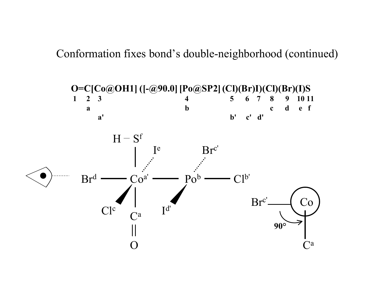Conformation fixes bond's double-neighborhood (continued)

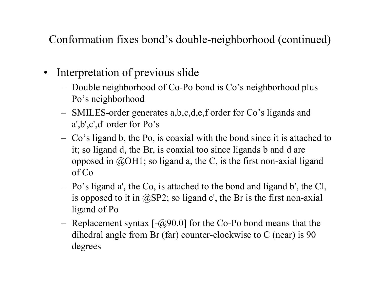Conformation fixes bond's double-neighborhood (continued)

- $\bullet$ Interpretation of previous slide
	- Double neighborhood of Co-Po bond is Co's neighborhood plus Po's neighborhood
	- SMILES-order generates a,b,c,d,e,f order for Co's ligands and <sup>a</sup>',b',c',d' order for Po's
	- Co's ligand b, the Po, is coaxial with the bond since it is attached to it; so ligand d, the Br, is coaxial too since ligands b and d are opposed in  $@OH1$ ; so ligand a, the C, is the first non-axial ligand of Co
	- Po's ligand a', the Co, is attached to the bond and ligand b', the Cl, is opposed to it in  $(\partial S)P2$ ; so ligand c', the Br is the first non-axial ligand of Po
	- Replacement syntax [-@90.0] for the Co-Po bond means that t he dihedral angle from Br (far) counter-clockwise to C (near) is 90 degrees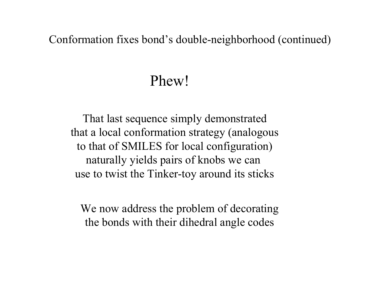#### Conformation fixes bond's double-neighborhood (continued)

## Phew!

That last sequence simply demonstrated that a local conformation strategy (analogous to that of SMILES for local configuration) naturally yields pairs of knobs we can use to twist the Tinker-toy around its sticks

We now address the problem of decorating the bonds with their dihedral angle codes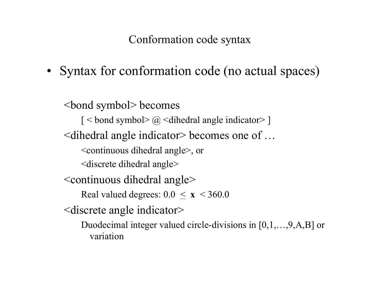Conformation code syntax

• Syntax for conformation code (no actual spaces)

<bond symbol> becomes  $\lceil$  < bond symbol>  $\lceil \omega \rceil$  < dihedral angle indicator>  $\lceil$ <dihedral angle indicator> becomes one of … <continuous dihedral angle>, or <discrete dihedral angle> <continuous dihedral angle> Real valued degrees: 0.0 < **x** < 360.0 <discrete angle indicator> Duodecimal integer valued circle-divisions in [0,1,…,9,A,B] or variation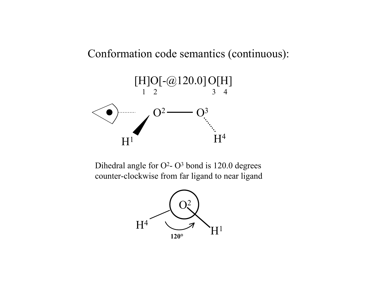#### Conformation code semantics (continuous):



Dihedral angle for  $O^2$ -  $O^3$  bond is 120.0 degrees counter-clockwise from far ligand to near ligand

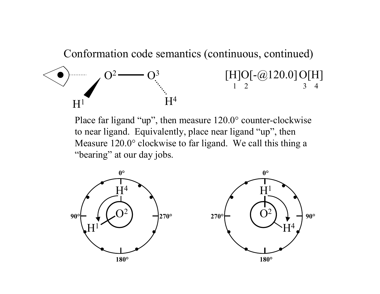Conformation code semantics (continuous, continued)



Place far ligand "up", then measure 120.0° counter-clockwise to near ligand. Equivalently, place near ligand "up", then Measure 120.0° clockwise to far ligand. We call this thing a "bearing" at our day jobs.

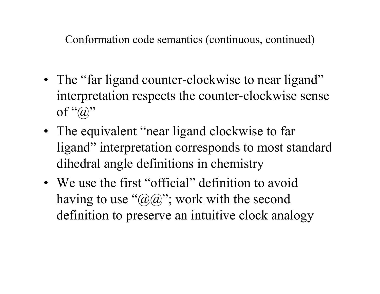Conformation code semantics (continuous, continued)

- The "far ligand counter-clockwise to near ligand" interpretation respects the counter-clockwise sense of " $\widehat{a}$ "
- The equivalent "near ligand clockwise to far ligand" interpretation corresponds to most standard dihedral angle definitions in chemistry
- We use the first "official" definition to avoid having to use " $(\mathcal{Q}(\mathcal{Q})$ "; work with the second definition to preserve an intuitive clock analogy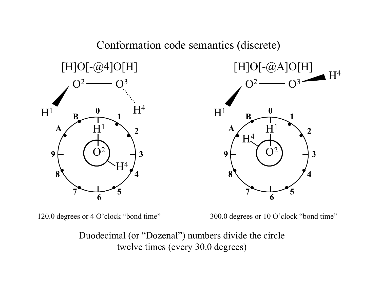





120.0 degrees or 4 O'clock "bond time"

300.0 degrees or 10 O'clock "bond time"

Duodecimal (or "Dozenal") numbers divide the circle twelve times (every 30.0 degrees)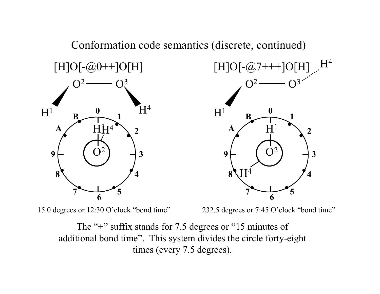

15.0 degrees or 12:30 O'clock "bond time"

232.5 degrees or 7:45 O'clock "bond time"

The "+" suffix stands for 7.5 degrees or "15 minutes of additional bond time". This system divides the circle forty-eight times (every 7.5 degrees).

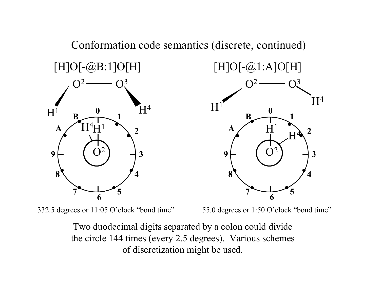

332.5 degrees or 11:05 O'clock "bond time" 55.0 degrees or 1:50 O'clock "bond time"

Two duodecimal digits separated by a colon could divide the circle 144 times (every 2.5 degrees). Various scheme s of discretization might be used.



Conformation code semantics (discrete, continued)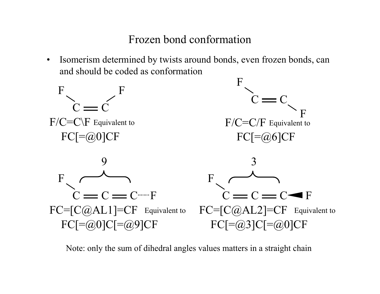#### Frozen bond conformation

•Isomerism determined by twists around bonds, even frozen bonds, can and should be coded as conformation









Note: only the sum of dihedral angles values matters in a straight chain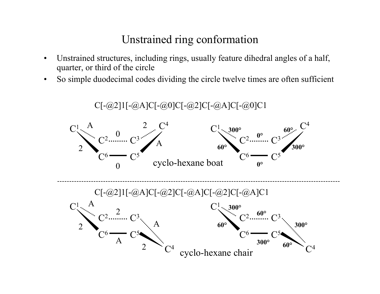#### Unstrained ring conformation

- • Unstrained structures, including rings, usually feature dihedral angles of a half, quarter, or third of the circle
- •So simple duodecimal codes dividing the circle twelve times are often sufficient

C[-@2]1[-@A]C[-@0]C[-@2]C[-@A]C[-@0]C1  $C^1 \setminus A$  and  $2 \setminus C$ 4 $C^1 \sim 300^\circ$  60<sup>o</sup> 2 $\mathrm{C}^3$  $C^6$  -  $C^5$ A 2**60°**  $\mathrm{C}^2$  $\mathrm{C}^3$  $C^6$  -  $C^5$ **300° 60°**  $\pmb{0}$  $\mathrm{C}^2$ ...... cyclo-hexane boat **0°**  $\Omega$ C[-@2]1[-@A]C[-@2]C[-@A]C[-@2]C[-@A]C1  $\mathrm{C}^1$  .  $\mathrm{A}$  $\mathrm{C}^1$  $\, C \,$ 3 $\, C \,$ 5**300°60°60° 300° 300°**cyclo-hexane chair  $\mathrm{C}^4$  $\rm C$ 3 $\, C \,$ 52A $\rm C^6$  $\mathrm{C}^2$ 2 $\frac{2}{\alpha^2}$  **60°**  $\, C \,$ 22  $\, C \,$ 6A $\, C \,$ 4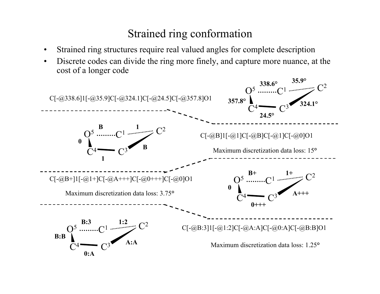#### Strained ring conformation

- •Strained ring structures require real valued angles for complete description
- • Discrete codes can divide the ring more finely, and capture more nuance, at the cost of a longer code

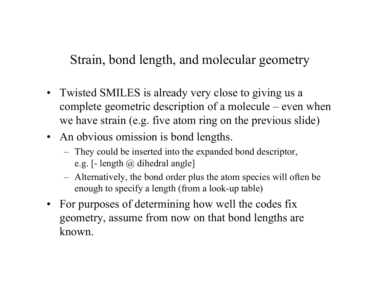### Strain, bond length, and molecular geometry

- Twisted SMILES is already very close to giving us a complete geometric description of a molecule – even when we have strain (e.g. five atom ring on the previous slide)
- An obvious omission is bond lengths.
	- They could be inserted into the expanded bond descriptor, e.g. [- length @ dihedral angle]
	- Alternatively, the bond order plus the atom species will often be enough to specify a length (from a look-up table)
- For purposes of determining how well the codes fix geometry, assume from now on that bond lengths are known.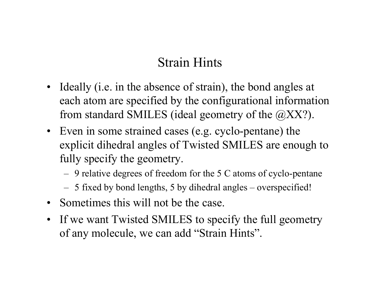## Strain Hints

- Ideally (i.e. in the absence of strain), the bond angles at each atom are specified by the configurational information from standard SMILES (ideal geometry of the @XX?).
- Even in some strained cases (e.g. cyclo-pentane) the explicit dihedral angles of Twisted SMILES are enough to fully specify the geometry.
	- $-$  9 relative degrees of freedom for the 5 C atoms of cyclo-pentane
	- 5 fixed by bond lengths, 5 by dihedral angles overspecified!
- Sometimes this will not be the case.
- If we want Twisted SMILES to specify the full geometry of any molecule, we can add "Strain Hints".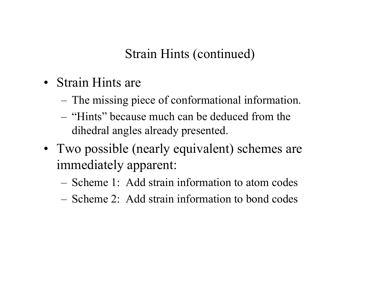## Strain Hints (continued)

- Strain Hints are
	- The missing piece of conformational information.
	- –"Hints" because much can be deduced from the dihedral angles already presented.
- Two possible (nearly equivalent) schemes are immediately apparent:
	- –Scheme 1: Add strain information to atom codes
	- –Scheme 2: Add strain information to bond codes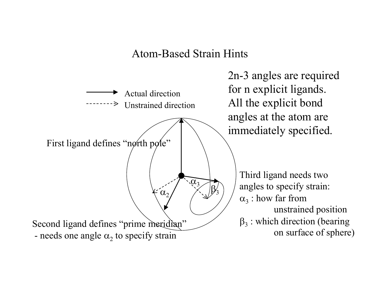#### Atom-Based Strain Hints



2n-3 angles are required for n explicit ligands. All the explicit bond angles at the atom are immediately specified.

> Third ligand needs two angles to specify strain:  $\alpha_3$  : how far from unstrained position  $\beta_3$ : which direction (bearing on surface of sphere)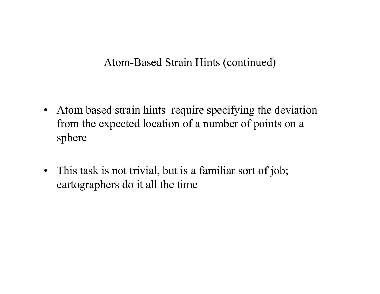#### Atom-Based Strain Hints (continued)

- $\bullet$ Atom based strain hints require specifying the deviation from the expected location of a number of points on a sphere
- $\bullet$ This task is not trivial, but is a familiar sort of job; cartographers do it all the time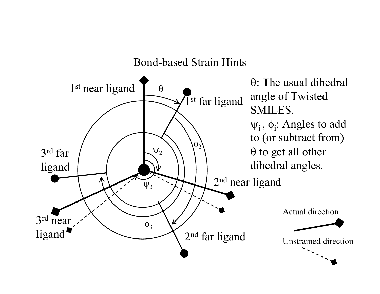Bond-based Strain Hints

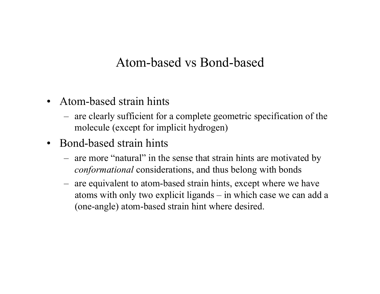#### Atom-based vs Bond-based

- Atom-based strain hints
	- are clearly sufficient for a complete geometric specification of the molecule (except for implicit hydrogen)
- Bond-based strain hints
	- are more "natural" in the sense that strain hints are motivated by *conformational* considerations, and thus belong with bonds
	- are equivalent to atom-based strain hints, except where we have atoms with only two explicit ligands – in which case we can add a (one-angle) atom-based strain hint where desired.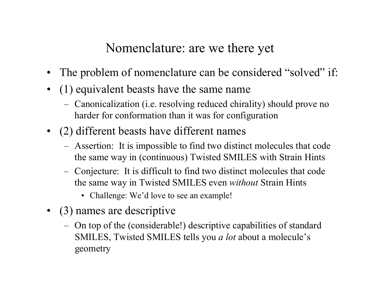## Nomenclature: are we there yet

- The problem of nomenclature can be considered "solved" if:
- (1) equivalent beasts have the same name
	- Canonicalization (i.e. resolving reduced chirality) should prove no harder for conformation than it was for configuration
- (2) different beasts have different names
	- Assertion: It is impossible to find two distinct molecules that code the same way in (continuous) Twisted SMILES with Strain Hints
	- Conjecture: It is diffi cult to find two distinct molecules that code the same way in Twisted SMILES even *without* Strain Hints
		- Challenge: We'd love to see an example!
- (3) names are descriptive
	- O n top of the (considerable!) descriptive capabilities of standard SMILES, Twisted SMILES tells you *a lot* about a molecule's geometry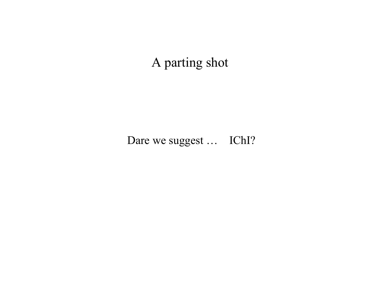## A parting shot

Dare we suggest ... IChI?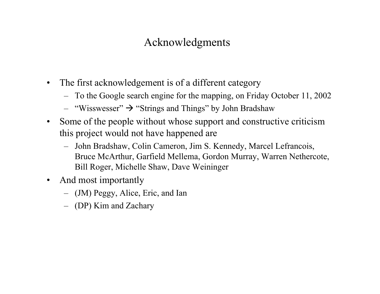#### Acknowledgments

- $\bullet$  The first acknowledgement is of a different category
	- To the Google search engine for the mapping, on Friday October 11, 2002
	- $-$  "Wisswesser"  $\rightarrow$  "Strings and Things" by John Bradshaw
- $\bullet$  Some of the people without whose support and constructive criticism this project would not have happened are
	- John Bradshaw, Colin Cameron, Jim S. Kennedy, Marcel Lefrancois, Bruce McArthur, Garfield Mellema, Gordon Murray, Warren Nethercote, Bill Roger, Michelle Shaw, Dave Weininger
- $\bullet$  And most importantly
	- (JM) Peggy, Alice, Eric, and Ian
	- (DP) Kim and Zachary